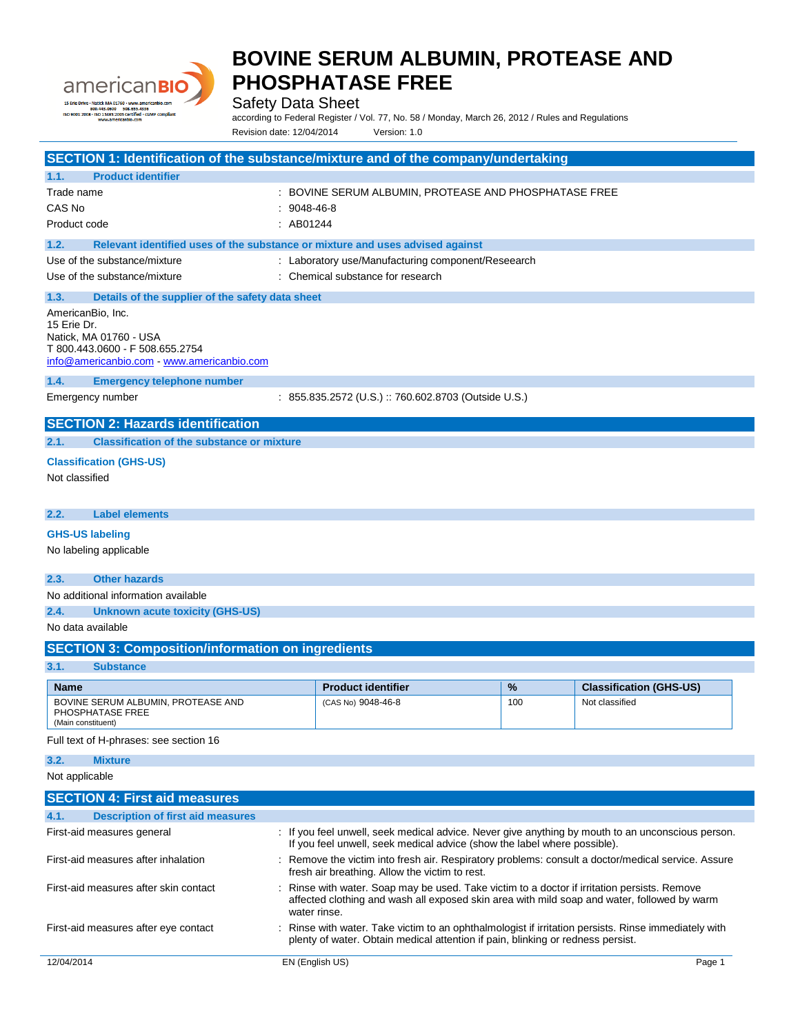

Safety Data Sheet

according to Federal Register / Vol. 77, No. 58 / Monday, March 26, 2012 / Rules and Regulations Revision date: 12/04/2014 Version: 1.0

| SECTION 1: Identification of the substance/mixture and of the company/undertaking                                                         |                                                                                                                                                                                                           |               |                                |
|-------------------------------------------------------------------------------------------------------------------------------------------|-----------------------------------------------------------------------------------------------------------------------------------------------------------------------------------------------------------|---------------|--------------------------------|
| <b>Product identifier</b><br>1.1.                                                                                                         |                                                                                                                                                                                                           |               |                                |
| Trade name                                                                                                                                | : BOVINE SERUM ALBUMIN, PROTEASE AND PHOSPHATASE FREE                                                                                                                                                     |               |                                |
| CAS No                                                                                                                                    | $: 9048 - 46 - 8$                                                                                                                                                                                         |               |                                |
| Product code                                                                                                                              | : AB01244                                                                                                                                                                                                 |               |                                |
| 1.2.                                                                                                                                      | Relevant identified uses of the substance or mixture and uses advised against                                                                                                                             |               |                                |
| Use of the substance/mixture                                                                                                              | : Laboratory use/Manufacturing component/Reseearch                                                                                                                                                        |               |                                |
| Use of the substance/mixture                                                                                                              | : Chemical substance for research                                                                                                                                                                         |               |                                |
| 1.3.<br>Details of the supplier of the safety data sheet                                                                                  |                                                                                                                                                                                                           |               |                                |
| AmericanBio, Inc.<br>15 Erie Dr.<br>Natick, MA 01760 - USA<br>T 800.443.0600 - F 508.655.2754<br>info@americanbio.com www.americanbio.com |                                                                                                                                                                                                           |               |                                |
| <b>Emergency telephone number</b><br>1.4.                                                                                                 |                                                                                                                                                                                                           |               |                                |
| Emergency number                                                                                                                          | : 855.835.2572 (U.S.) :: 760.602.8703 (Outside U.S.)                                                                                                                                                      |               |                                |
| <b>SECTION 2: Hazards identification</b>                                                                                                  |                                                                                                                                                                                                           |               |                                |
| <b>Classification of the substance or mixture</b><br>2.1.                                                                                 |                                                                                                                                                                                                           |               |                                |
| <b>Classification (GHS-US)</b>                                                                                                            |                                                                                                                                                                                                           |               |                                |
| Not classified                                                                                                                            |                                                                                                                                                                                                           |               |                                |
| <b>Label elements</b><br>2.2.                                                                                                             |                                                                                                                                                                                                           |               |                                |
| <b>GHS-US labeling</b>                                                                                                                    |                                                                                                                                                                                                           |               |                                |
| No labeling applicable                                                                                                                    |                                                                                                                                                                                                           |               |                                |
| <b>Other hazards</b><br>2.3.                                                                                                              |                                                                                                                                                                                                           |               |                                |
| No additional information available                                                                                                       |                                                                                                                                                                                                           |               |                                |
| 2.4.<br><b>Unknown acute toxicity (GHS-US)</b>                                                                                            |                                                                                                                                                                                                           |               |                                |
| No data available                                                                                                                         |                                                                                                                                                                                                           |               |                                |
| <b>SECTION 3: Composition/information on ingredients</b>                                                                                  |                                                                                                                                                                                                           |               |                                |
| 3.1.<br><b>Substance</b>                                                                                                                  |                                                                                                                                                                                                           |               |                                |
| <b>Name</b>                                                                                                                               | <b>Product identifier</b>                                                                                                                                                                                 | $\frac{9}{6}$ | <b>Classification (GHS-US)</b> |
| BOVINE SERUM ALBUMIN, PROTEASE AND<br>PHOSPHATASE FREE<br>(Main constituent)                                                              | (CAS No) 9048-46-8                                                                                                                                                                                        | 100           | Not classified                 |
| Full text of H-phrases: see section 16                                                                                                    |                                                                                                                                                                                                           |               |                                |
| 3.2.<br><b>Mixture</b>                                                                                                                    |                                                                                                                                                                                                           |               |                                |
| Not applicable                                                                                                                            |                                                                                                                                                                                                           |               |                                |
| <b>SECTION 4: First aid measures</b>                                                                                                      |                                                                                                                                                                                                           |               |                                |
| 4.1.<br><b>Description of first aid measures</b>                                                                                          |                                                                                                                                                                                                           |               |                                |
| First-aid measures general                                                                                                                | : If you feel unwell, seek medical advice. Never give anything by mouth to an unconscious person.<br>If you feel unwell, seek medical advice (show the label where possible).                             |               |                                |
| First-aid measures after inhalation                                                                                                       | : Remove the victim into fresh air. Respiratory problems: consult a doctor/medical service. Assure<br>fresh air breathing. Allow the victim to rest.                                                      |               |                                |
| First-aid measures after skin contact                                                                                                     | Rinse with water. Soap may be used. Take victim to a doctor if irritation persists. Remove<br>affected clothing and wash all exposed skin area with mild soap and water, followed by warm<br>water rinse. |               |                                |
| First-aid measures after eye contact                                                                                                      | Rinse with water. Take victim to an ophthalmologist if irritation persists. Rinse immediately with<br>plenty of water. Obtain medical attention if pain, blinking or redness persist.                     |               |                                |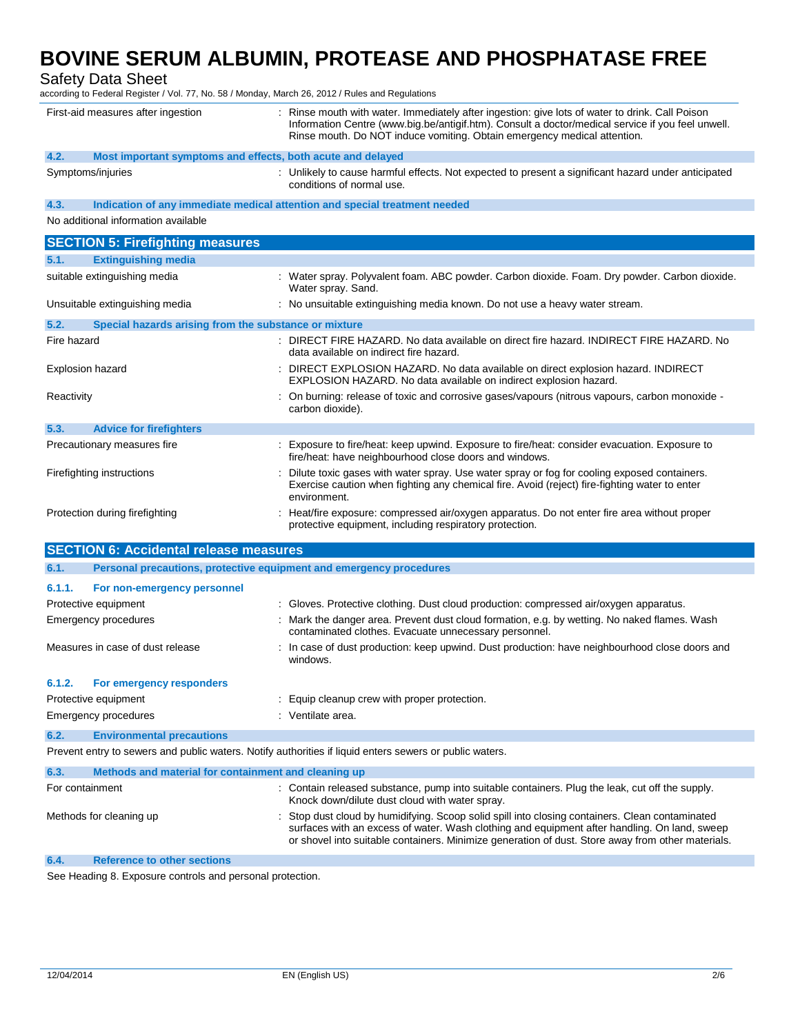Safety Data Sheet

according to Federal Register / Vol. 77, No. 58 / Monday, March 26, 2012 / Rules and Regulations

| First-aid measures after ingestion            | Rinse mouth with water. Immediately after ingestion: give lots of water to drink. Call Poison<br>Information Centre (www.big.be/antigif.htm). Consult a doctor/medical service if you feel unwell.<br>Rinse mouth. Do NOT induce vomiting. Obtain emergency medical attention.                       |
|-----------------------------------------------|------------------------------------------------------------------------------------------------------------------------------------------------------------------------------------------------------------------------------------------------------------------------------------------------------|
| 4.2.                                          | Most important symptoms and effects, both acute and delayed                                                                                                                                                                                                                                          |
| Symptoms/injuries                             | : Unlikely to cause harmful effects. Not expected to present a significant hazard under anticipated<br>conditions of normal use.                                                                                                                                                                     |
| 4.3.                                          | Indication of any immediate medical attention and special treatment needed                                                                                                                                                                                                                           |
| No additional information available           |                                                                                                                                                                                                                                                                                                      |
| <b>SECTION 5: Firefighting measures</b>       |                                                                                                                                                                                                                                                                                                      |
| 5.1.<br><b>Extinguishing media</b>            |                                                                                                                                                                                                                                                                                                      |
| suitable extinguishing media                  | : Water spray. Polyvalent foam. ABC powder. Carbon dioxide. Foam. Dry powder. Carbon dioxide.<br>Water spray. Sand.                                                                                                                                                                                  |
| Unsuitable extinguishing media                | : No unsuitable extinguishing media known. Do not use a heavy water stream.                                                                                                                                                                                                                          |
| 5.2.                                          | Special hazards arising from the substance or mixture                                                                                                                                                                                                                                                |
| Fire hazard                                   | DIRECT FIRE HAZARD. No data available on direct fire hazard. INDIRECT FIRE HAZARD. No<br>data available on indirect fire hazard.                                                                                                                                                                     |
| Explosion hazard                              | DIRECT EXPLOSION HAZARD. No data available on direct explosion hazard. INDIRECT<br>EXPLOSION HAZARD. No data available on indirect explosion hazard.                                                                                                                                                 |
| Reactivity                                    | : On burning: release of toxic and corrosive gases/vapours (nitrous vapours, carbon monoxide -<br>carbon dioxide).                                                                                                                                                                                   |
| 5.3.<br><b>Advice for firefighters</b>        |                                                                                                                                                                                                                                                                                                      |
| Precautionary measures fire                   | Exposure to fire/heat: keep upwind. Exposure to fire/heat: consider evacuation. Exposure to<br>fire/heat: have neighbourhood close doors and windows.                                                                                                                                                |
| Firefighting instructions                     | Dilute toxic gases with water spray. Use water spray or fog for cooling exposed containers.<br>Exercise caution when fighting any chemical fire. Avoid (reject) fire-fighting water to enter<br>environment.                                                                                         |
| Protection during firefighting                | Heat/fire exposure: compressed air/oxygen apparatus. Do not enter fire area without proper<br>protective equipment, including respiratory protection.                                                                                                                                                |
| <b>SECTION 6: Accidental release measures</b> |                                                                                                                                                                                                                                                                                                      |
| 6.1.                                          | Personal precautions, protective equipment and emergency procedures                                                                                                                                                                                                                                  |
| 6.1.1.<br>For non-emergency personnel         |                                                                                                                                                                                                                                                                                                      |
| Protective equipment                          | : Gloves. Protective clothing. Dust cloud production: compressed air/oxygen apparatus.                                                                                                                                                                                                               |
| <b>Emergency procedures</b>                   | : Mark the danger area. Prevent dust cloud formation, e.g. by wetting. No naked flames. Wash<br>contaminated clothes. Evacuate unnecessary personnel.                                                                                                                                                |
| Measures in case of dust release              | : In case of dust production: keep upwind. Dust production: have neighbourhood close doors and<br>windows.                                                                                                                                                                                           |
| 6.1.2.<br><b>For emergency responders</b>     |                                                                                                                                                                                                                                                                                                      |
| Protective equipment                          | Equip cleanup crew with proper protection.                                                                                                                                                                                                                                                           |
| Emergency procedures                          | : Ventilate area.                                                                                                                                                                                                                                                                                    |
| 6.2.<br><b>Environmental precautions</b>      |                                                                                                                                                                                                                                                                                                      |
|                                               | Prevent entry to sewers and public waters. Notify authorities if liquid enters sewers or public waters.                                                                                                                                                                                              |
| 6.3.                                          | Methods and material for containment and cleaning up                                                                                                                                                                                                                                                 |
| For containment                               | : Contain released substance, pump into suitable containers. Plug the leak, cut off the supply.<br>Knock down/dilute dust cloud with water spray.                                                                                                                                                    |
| Methods for cleaning up                       | : Stop dust cloud by humidifying. Scoop solid spill into closing containers. Clean contaminated<br>surfaces with an excess of water. Wash clothing and equipment after handling. On land, sweep<br>or shovel into suitable containers. Minimize generation of dust. Store away from other materials. |
| 6.4.<br><b>Reference to other sections</b>    |                                                                                                                                                                                                                                                                                                      |

See Heading 8. Exposure controls and personal protection.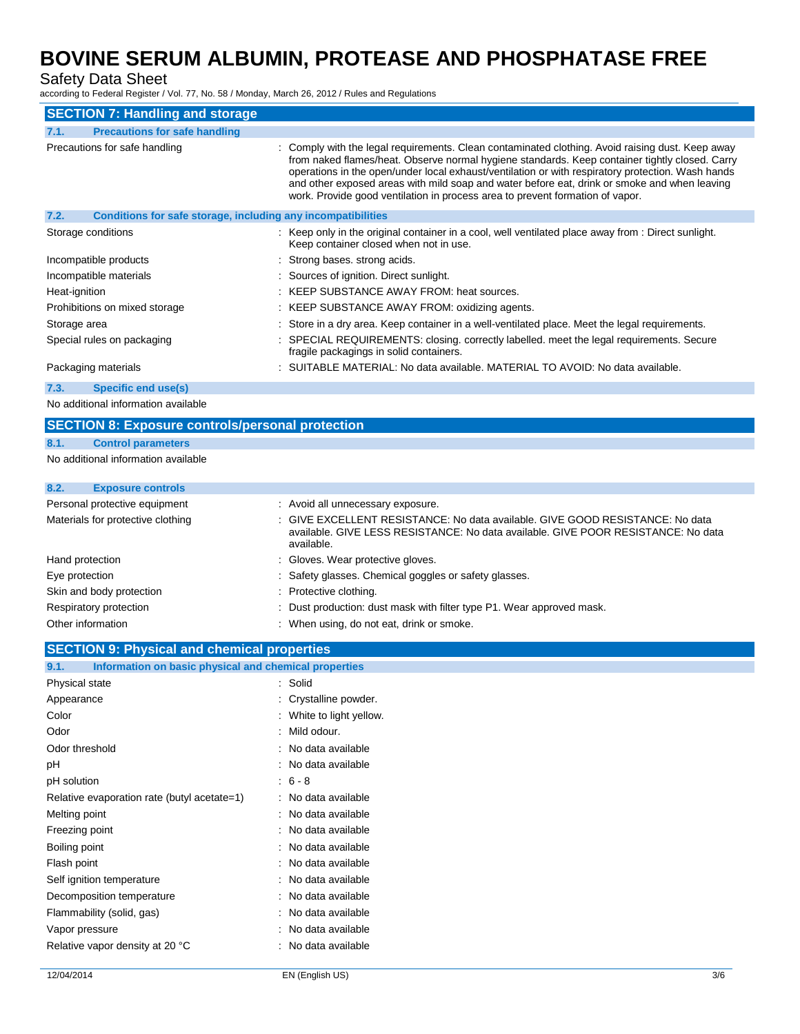Safety Data Sheet

according to Federal Register / Vol. 77, No. 58 / Monday, March 26, 2012 / Rules and Regulations

| <b>SECTION 7: Handling and storage</b>                               |                                                                                                                                                                                                                                                                                                                                                                                                                                                                                          |
|----------------------------------------------------------------------|------------------------------------------------------------------------------------------------------------------------------------------------------------------------------------------------------------------------------------------------------------------------------------------------------------------------------------------------------------------------------------------------------------------------------------------------------------------------------------------|
| <b>Precautions for safe handling</b><br>7.1.                         |                                                                                                                                                                                                                                                                                                                                                                                                                                                                                          |
| Precautions for safe handling                                        | : Comply with the legal requirements. Clean contaminated clothing. Avoid raising dust. Keep away<br>from naked flames/heat. Observe normal hygiene standards. Keep container tightly closed. Carry<br>operations in the open/under local exhaust/ventilation or with respiratory protection. Wash hands<br>and other exposed areas with mild soap and water before eat, drink or smoke and when leaving<br>work. Provide good ventilation in process area to prevent formation of vapor. |
| 7.2.<br>Conditions for safe storage, including any incompatibilities |                                                                                                                                                                                                                                                                                                                                                                                                                                                                                          |
| Storage conditions                                                   | : Keep only in the original container in a cool, well ventilated place away from : Direct sunlight.<br>Keep container closed when not in use.                                                                                                                                                                                                                                                                                                                                            |
| Incompatible products                                                | : Strong bases, strong acids.                                                                                                                                                                                                                                                                                                                                                                                                                                                            |
| Incompatible materials                                               | : Sources of ignition. Direct sunlight.                                                                                                                                                                                                                                                                                                                                                                                                                                                  |
| Heat-ignition                                                        | : KEEP SUBSTANCE AWAY FROM: heat sources.                                                                                                                                                                                                                                                                                                                                                                                                                                                |
| Prohibitions on mixed storage                                        | : KEEP SUBSTANCE AWAY FROM: oxidizing agents.                                                                                                                                                                                                                                                                                                                                                                                                                                            |
| Storage area                                                         | : Store in a dry area. Keep container in a well-ventilated place. Meet the legal requirements.                                                                                                                                                                                                                                                                                                                                                                                           |
| Special rules on packaging                                           | : SPECIAL REQUIREMENTS: closing. correctly labelled. meet the legal requirements. Secure<br>fragile packagings in solid containers.                                                                                                                                                                                                                                                                                                                                                      |
| Packaging materials                                                  | : SUITABLE MATERIAL: No data available. MATERIAL TO AVOID: No data available.                                                                                                                                                                                                                                                                                                                                                                                                            |
| Specific end use(s)<br>7.3.                                          |                                                                                                                                                                                                                                                                                                                                                                                                                                                                                          |

No additional information available

### **SECTION 8: Exposure controls/personal protection**

### **8.1. Control parameters**

No additional information available

### **8.2. Exposure controls**

| Personal protective equipment     | : Avoid all unnecessary exposure.                                                                                                                                                |
|-----------------------------------|----------------------------------------------------------------------------------------------------------------------------------------------------------------------------------|
| Materials for protective clothing | : GIVE EXCELLENT RESISTANCE: No data available. GIVE GOOD RESISTANCE: No data<br>available. GIVE LESS RESISTANCE: No data available. GIVE POOR RESISTANCE: No data<br>available. |
| Hand protection                   | : Gloves. Wear protective gloves.                                                                                                                                                |
| Eye protection                    | : Safety glasses. Chemical goggles or safety glasses.                                                                                                                            |
| Skin and body protection          | : Protective clothing.                                                                                                                                                           |
| Respiratory protection            | : Dust production: dust mask with filter type P1. Wear approved mask.                                                                                                            |
| Other information                 | When using, do not eat, drink or smoke.                                                                                                                                          |

### **SECTION 9: Physical and chemical properties**

| Information on basic physical and chemical properties<br>9.1. |                        |
|---------------------------------------------------------------|------------------------|
| Physical state                                                | : Solid                |
| Appearance                                                    | Crystalline powder.    |
| Color                                                         | White to light yellow. |
| Odor                                                          | Mild odour.            |
| Odor threshold                                                | No data available      |
| рH                                                            | No data available      |
| pH solution                                                   | $6 - 8$                |
| Relative evaporation rate (butyl acetate=1)                   | No data available      |
| Melting point                                                 | No data available      |
| Freezing point                                                | No data available      |
| Boiling point                                                 | No data available      |
| Flash point                                                   | No data available      |
| Self ignition temperature                                     | No data available      |
| Decomposition temperature                                     | No data available      |
| Flammability (solid, gas)                                     | No data available      |
| Vapor pressure                                                | No data available      |
| Relative vapor density at 20 °C                               | No data available      |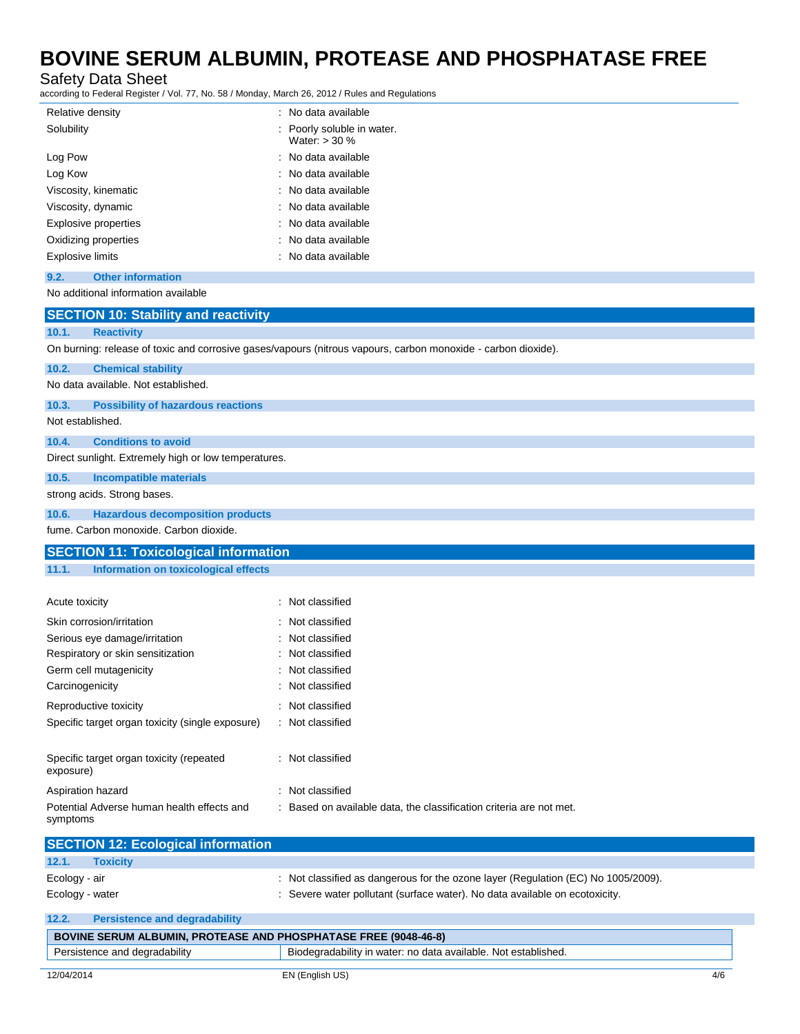Safety Data Sheet

according to Federal Register / Vol. 77, No. 58 / Monday, March 26, 2012 / Rules and Regulations

| Relative density                 | : No data available                           |
|----------------------------------|-----------------------------------------------|
| Solubility                       | : Poorly soluble in water.<br>Water: $>$ 30 % |
| Log Pow                          | : No data available                           |
| Log Kow                          | : No data available                           |
| Viscosity, kinematic             | : No data available                           |
| Viscosity, dynamic               | : No data available                           |
| Explosive properties             | : No data available                           |
| Oxidizing properties             | : No data available                           |
| <b>Explosive limits</b>          | : No data available                           |
| 9.2.<br><b>Other information</b> |                                               |

### No additional information available

| <b>SECTION 10: Stability and reactivity</b>            |                                                                                                               |
|--------------------------------------------------------|---------------------------------------------------------------------------------------------------------------|
| 10.1.<br><b>Reactivity</b>                             |                                                                                                               |
|                                                        | On burning: release of toxic and corrosive gases/vapours (nitrous vapours, carbon monoxide - carbon dioxide). |
| 10.2.<br><b>Chemical stability</b>                     |                                                                                                               |
| No data available. Not established.                    |                                                                                                               |
| 10.3.<br><b>Possibility of hazardous reactions</b>     |                                                                                                               |
| Not established.                                       |                                                                                                               |
| <b>Conditions to avoid</b><br>10.4.                    |                                                                                                               |
| Direct sunlight. Extremely high or low temperatures.   |                                                                                                               |
| 10.5.<br><b>Incompatible materials</b>                 |                                                                                                               |
| strong acids. Strong bases.                            |                                                                                                               |
| 10.6.<br><b>Hazardous decomposition products</b>       |                                                                                                               |
| fume. Carbon monoxide. Carbon dioxide.                 |                                                                                                               |
| <b>SECTION 11: Toxicological information</b>           |                                                                                                               |
| 11.1.<br>Information on toxicological effects          |                                                                                                               |
| Acute toxicity                                         | : Not classified                                                                                              |
| Skin corrosion/irritation                              | Not classified                                                                                                |
| Serious eye damage/irritation                          | Not classified                                                                                                |
| Respiratory or skin sensitization                      | Not classified                                                                                                |
| Germ cell mutagenicity                                 | Not classified                                                                                                |
| Carcinogenicity                                        | Not classified                                                                                                |
| Reproductive toxicity                                  | : Not classified                                                                                              |
| Specific target organ toxicity (single exposure)       | : Not classified                                                                                              |
| Specific target organ toxicity (repeated               | : Not classified                                                                                              |
| exposure)                                              |                                                                                                               |
| Aspiration hazard                                      | : Not classified                                                                                              |
| Potential Adverse human health effects and<br>symptoms | : Based on available data, the classification criteria are not met.                                           |
| <b>SECTION 12: Ecological information</b>              |                                                                                                               |
| 12.1.<br><b>Toxicity</b>                               |                                                                                                               |
| Ecology - air                                          | : Not classified as dangerous for the ozone layer (Regulation (EC) No 1005/2009).                             |
| Ecology - water                                        | : Severe water pollutant (surface water). No data available on ecotoxicity.                                   |

| 12.2.                         | <b>Persistence and degradability</b> |                                                                        |     |
|-------------------------------|--------------------------------------|------------------------------------------------------------------------|-----|
|                               |                                      | <b>BOVINE SERUM ALBUMIN, PROTEASE AND PHOSPHATASE FREE (9048-46-8)</b> |     |
| Persistence and degradability |                                      | Biodegradability in water: no data available. Not established.         |     |
| 12/04/2014                    |                                      | EN (English US)                                                        | 4/6 |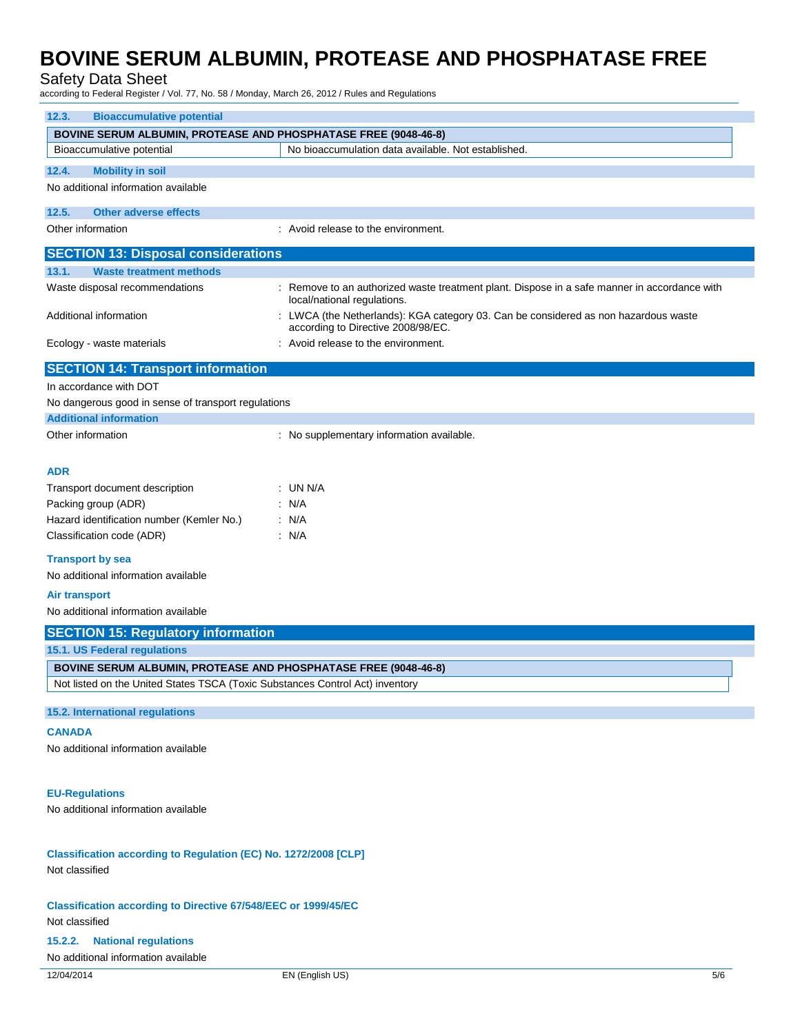Safety Data Sheet

according to Federal Register / Vol. 77, No. 58 / Monday, March 26, 2012 / Rules and Regulations

| <b>Bioaccumulative potential</b><br>12.3.                                     |                                                                                                                             |  |
|-------------------------------------------------------------------------------|-----------------------------------------------------------------------------------------------------------------------------|--|
| BOVINE SERUM ALBUMIN, PROTEASE AND PHOSPHATASE FREE (9048-46-8)               |                                                                                                                             |  |
| Bioaccumulative potential                                                     | No bioaccumulation data available. Not established.                                                                         |  |
| 12.4.<br><b>Mobility in soil</b>                                              |                                                                                                                             |  |
| No additional information available                                           |                                                                                                                             |  |
| <b>Other adverse effects</b><br>12.5.                                         |                                                                                                                             |  |
| Other information                                                             | : Avoid release to the environment.                                                                                         |  |
| <b>SECTION 13: Disposal considerations</b>                                    |                                                                                                                             |  |
| 13.1.<br><b>Waste treatment methods</b>                                       |                                                                                                                             |  |
| Waste disposal recommendations                                                | : Remove to an authorized waste treatment plant. Dispose in a safe manner in accordance with<br>local/national regulations. |  |
| Additional information                                                        | : LWCA (the Netherlands): KGA category 03. Can be considered as non hazardous waste<br>according to Directive 2008/98/EC.   |  |
| Ecology - waste materials                                                     | : Avoid release to the environment.                                                                                         |  |
| <b>SECTION 14: Transport information</b>                                      |                                                                                                                             |  |
| In accordance with DOT                                                        |                                                                                                                             |  |
| No dangerous good in sense of transport regulations                           |                                                                                                                             |  |
| <b>Additional information</b>                                                 |                                                                                                                             |  |
| Other information                                                             | : No supplementary information available.                                                                                   |  |
| <b>ADR</b>                                                                    |                                                                                                                             |  |
| Transport document description                                                | : UN N/A                                                                                                                    |  |
| Packing group (ADR)                                                           | : N/A                                                                                                                       |  |
| Hazard identification number (Kemler No.)                                     | : N/A                                                                                                                       |  |
| Classification code (ADR)                                                     | : N/A                                                                                                                       |  |
| <b>Transport by sea</b>                                                       |                                                                                                                             |  |
| No additional information available                                           |                                                                                                                             |  |
| <b>Air transport</b>                                                          |                                                                                                                             |  |
| No additional information available                                           |                                                                                                                             |  |
| <b>SECTION 15: Regulatory information</b>                                     |                                                                                                                             |  |
| 15.1. US Federal regulations                                                  |                                                                                                                             |  |
| <b>BOVINE SERUM ALBUMIN, PROTEASE AND PHOSPHATASE FREE (9048-46-8)</b>        |                                                                                                                             |  |
| Not listed on the United States TSCA (Toxic Substances Control Act) inventory |                                                                                                                             |  |
| 15.2. International regulations                                               |                                                                                                                             |  |
| <b>CANADA</b>                                                                 |                                                                                                                             |  |
| No additional information available                                           |                                                                                                                             |  |
|                                                                               |                                                                                                                             |  |
| <b>EU-Regulations</b>                                                         |                                                                                                                             |  |
| No additional information available                                           |                                                                                                                             |  |
|                                                                               |                                                                                                                             |  |
| Classification according to Regulation (EC) No. 1272/2008 [CLP]               |                                                                                                                             |  |
| Not classified                                                                |                                                                                                                             |  |
| <b>Classification according to Directive 67/548/EEC or 1999/45/EC</b>         |                                                                                                                             |  |
| Not classified                                                                |                                                                                                                             |  |
| <b>National regulations</b><br>15.2.2.                                        |                                                                                                                             |  |
| No additional information available                                           |                                                                                                                             |  |
| 12/04/2014                                                                    | EN (English US)<br>5/6                                                                                                      |  |